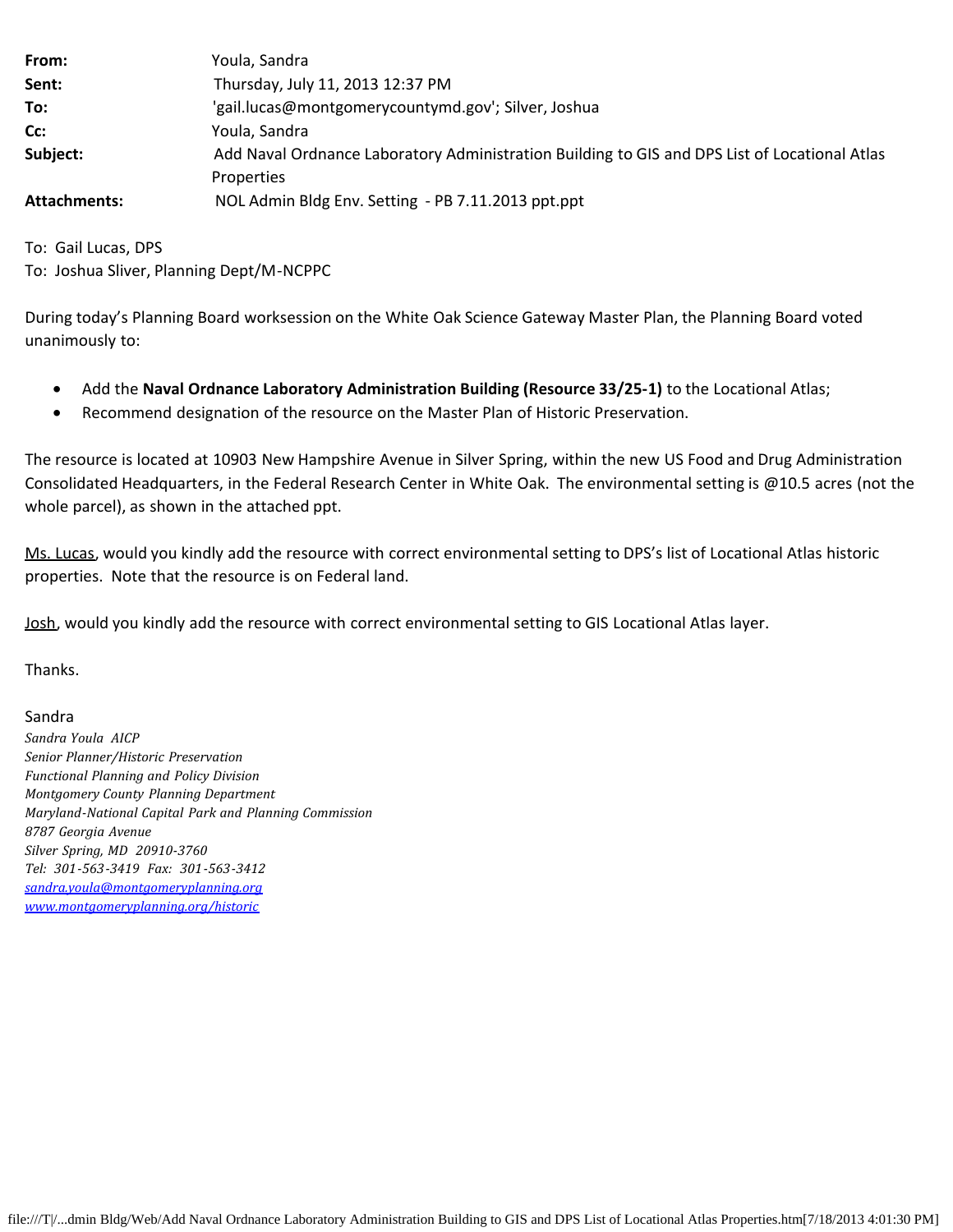| From:               | Youla. Sandra                                                                                 |
|---------------------|-----------------------------------------------------------------------------------------------|
| Sent:               | Thursday, July 11, 2013 12:37 PM                                                              |
| To:                 | 'gail.lucas@montgomerycountymd.gov'; Silver, Joshua                                           |
| Cc:                 | Youla, Sandra                                                                                 |
| Subject:            | Add Naval Ordnance Laboratory Administration Building to GIS and DPS List of Locational Atlas |
|                     | Properties                                                                                    |
| <b>Attachments:</b> | NOL Admin Bldg Env. Setting - PB 7.11.2013 ppt.ppt                                            |

To: Gail Lucas, DPS

To: Joshua Sliver, Planning Dept/M-NCPPC

During today's Planning Board worksession on the White Oak Science Gateway Master Plan, the Planning Board voted unanimously to:

- · Add the **Naval Ordnance Laboratory Administration Building (Resource 33/25-1)** to the Locational Atlas;
- · Recommend designation of the resource on the Master Plan of Historic Preservation.

The resource is located at 10903 New Hampshire Avenue in Silver Spring, within the new US Food and Drug Administration Consolidated Headquarters, in the Federal Research Center in White Oak. The environmental setting is @10.5 acres (not the whole parcel), as shown in the attached ppt.

Ms. Lucas, would you kindly add the resource with correct environmental setting to DPS's list of Locational Atlas historic properties. Note that the resource is on Federal land.

Josh, would you kindly add the resource with correct environmental setting to GIS Locational Atlas layer.

Thanks.

## Sandra

*Sandra Youla AICP Senior Planner/Historic Preservation Functional Planning and Policy Division Montgomery County Planning Department Maryland-National Capital Park and Planning Commission 8787 Georgia Avenue Silver Spring, MD 20910-3760 Tel: 301-563-3419 Fax: 301-563-3412 [sandra.youla@montgomeryplanning.org](mailto:sandra.youla@montgomeryplanning.org) [www.montgomeryplanning.org/historic](http://www.montgomeryplanning.org/historic)*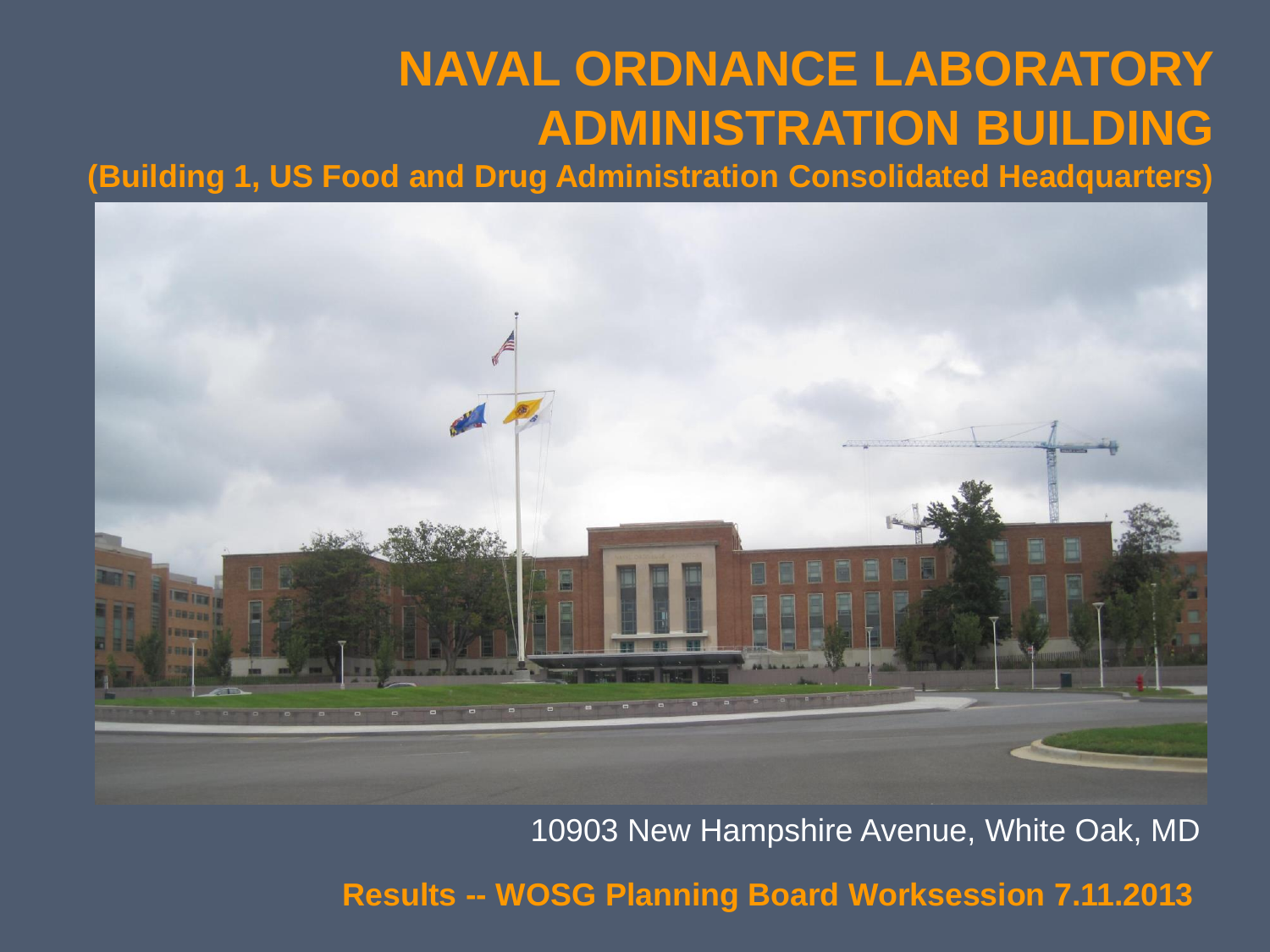## **NAVAL ORDNANCE LABORATORY ADMINISTRATION BUILDING**

**(Building 1, US Food and Drug Administration Consolidated Headquarters)**



10903 New Hampshire Avenue, White Oak, MD

**Results -- WOSG Planning Board Worksession 7.11.2013**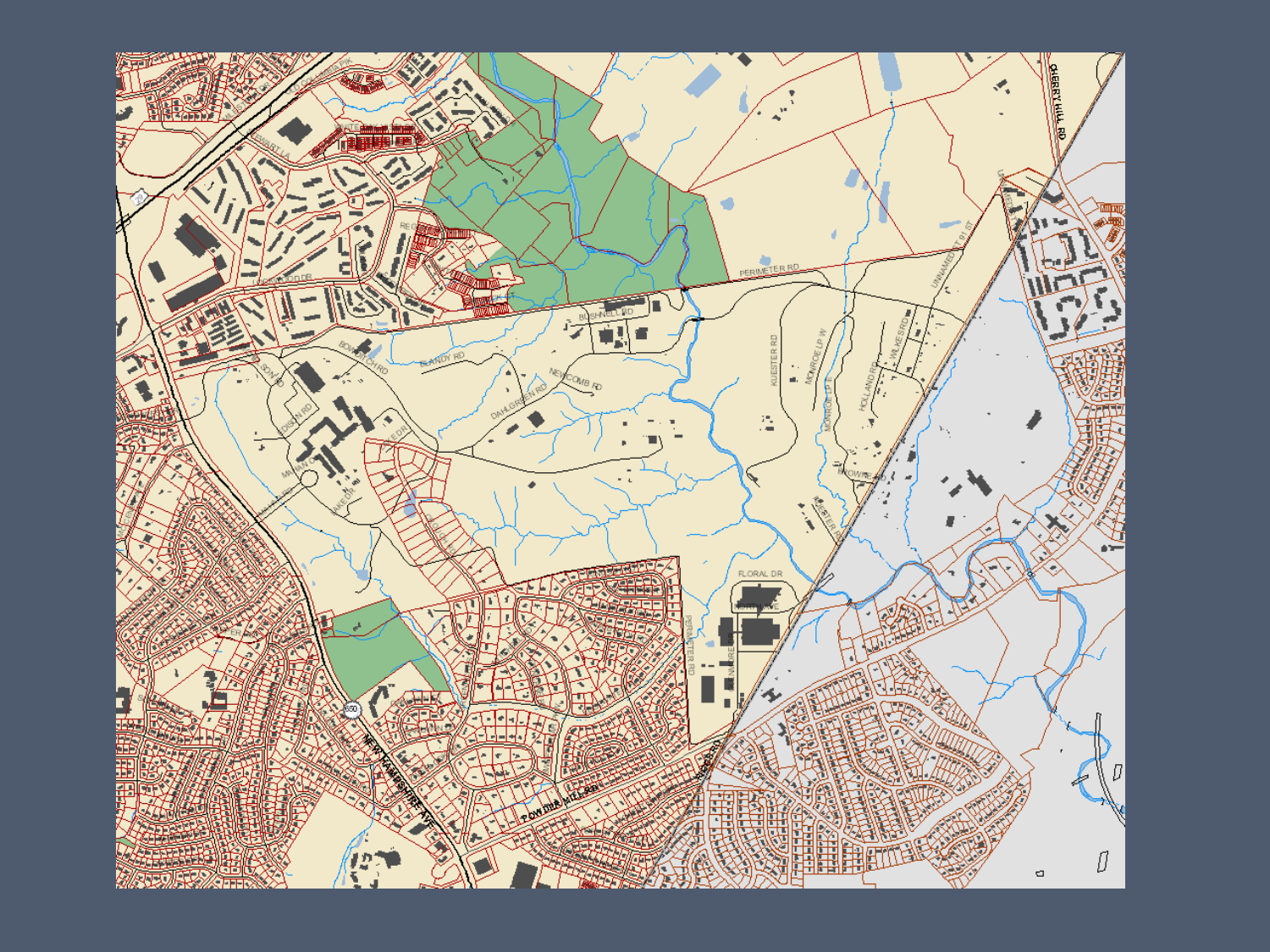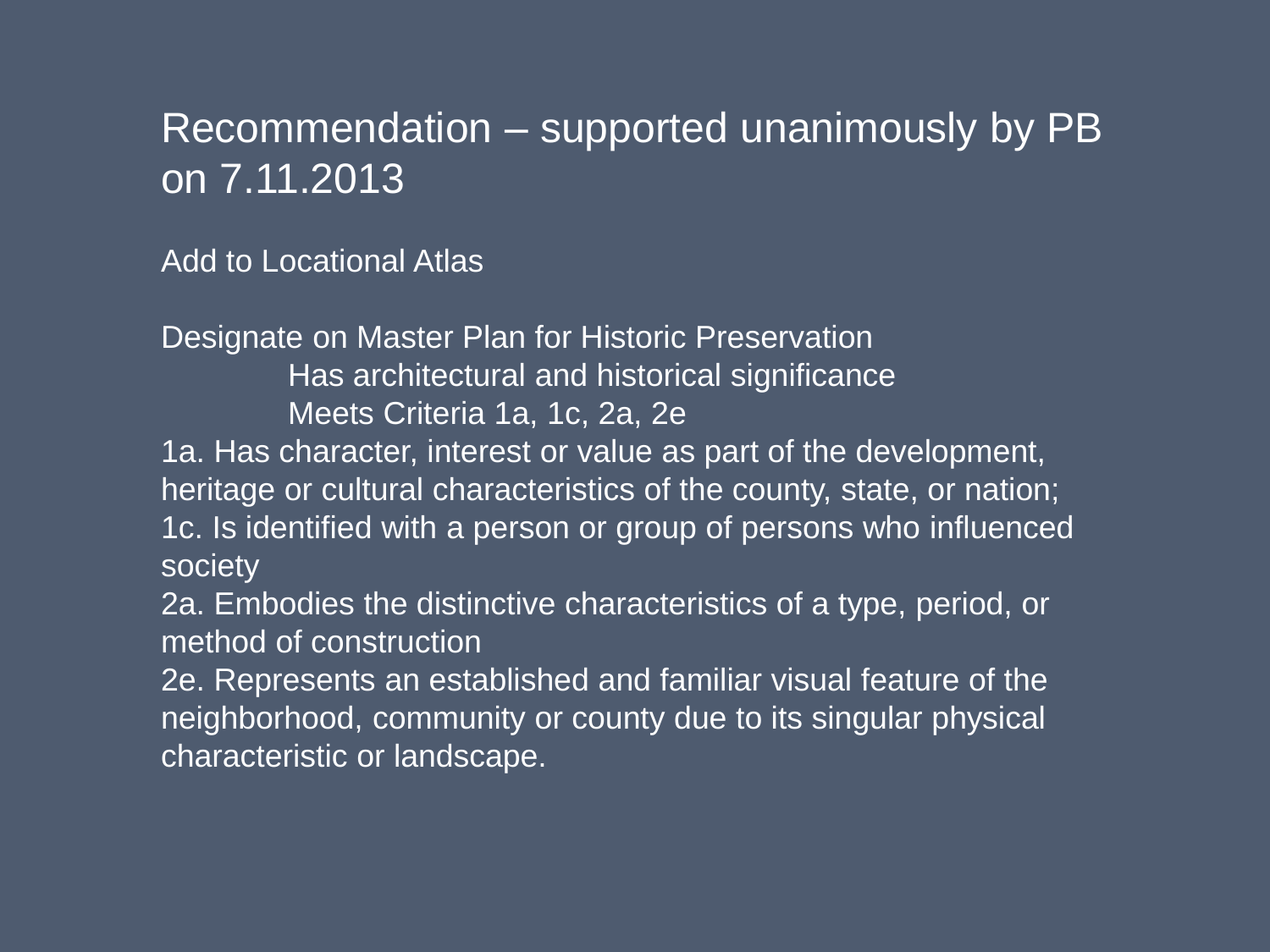## Recommendation – supported unanimously by PB on 7.11.2013

Add to Locational Atlas

Designate on Master Plan for Historic Preservation Has architectural and historical significance Meets Criteria 1a, 1c, 2a, 2e

1a. Has character, interest or value as part of the development, heritage or cultural characteristics of the county, state, or nation; 1c. Is identified with a person or group of persons who influenced society

2a. Embodies the distinctive characteristics of a type, period, or method of construction

2e. Represents an established and familiar visual feature of the neighborhood, community or county due to its singular physical characteristic or landscape.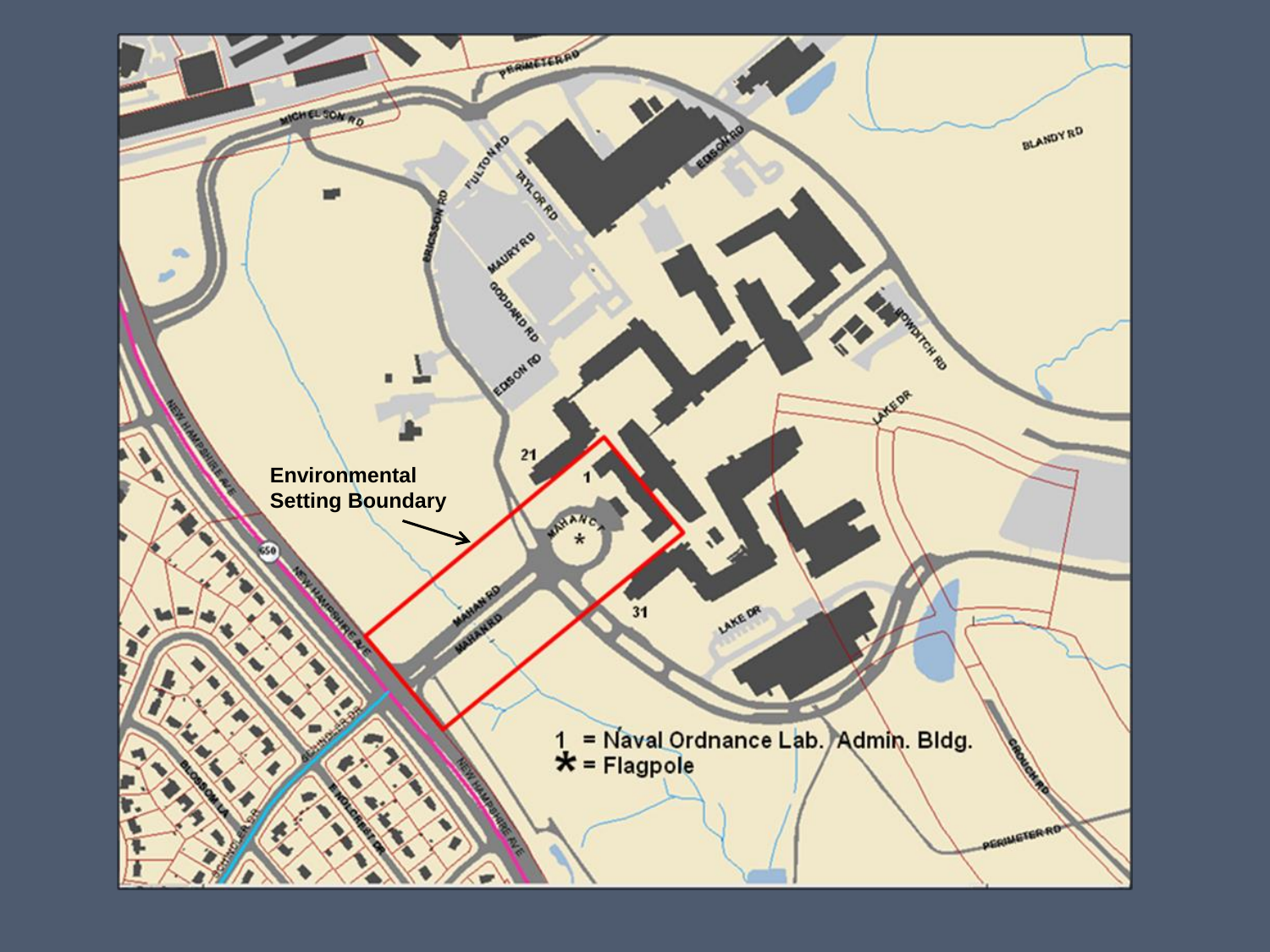